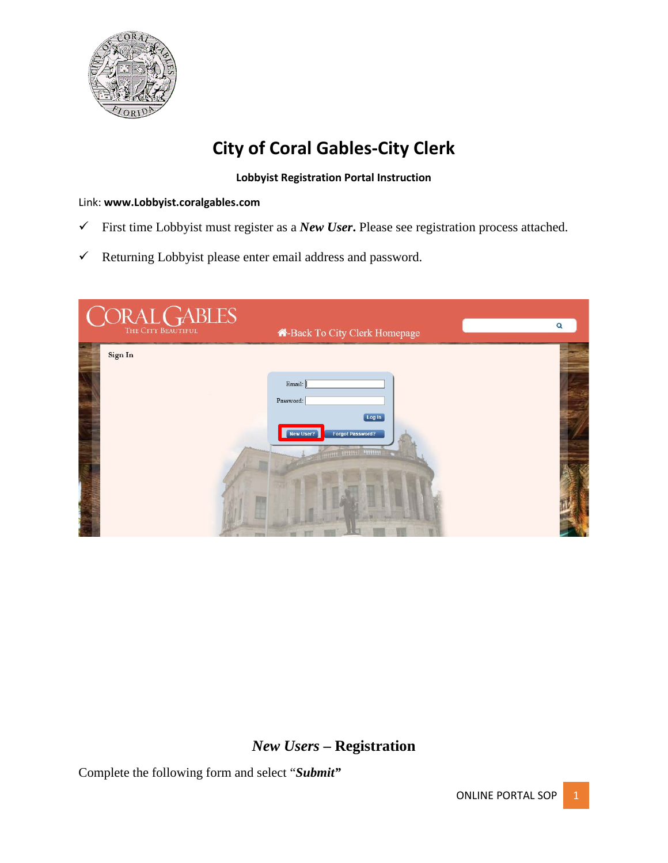

# **City of Coral Gables-City Clerk**

#### **Lobbyist Registration Portal Instruction**

#### Link: **www.Lobbyist.coralgables.com**

- First time Lobbyist must register as a *New User***.** Please see registration process attached.
- $\checkmark$  Returning Lobbyist please enter email address and password.

| $\underset{\text{The City Bexerior}}{\bigcirc} \underset{\text{Bexerror}}{\text{ABLES}}$ | A-Back To City Clerk Homepage                                                     | Q |
|------------------------------------------------------------------------------------------|-----------------------------------------------------------------------------------|---|
| Sign In                                                                                  |                                                                                   |   |
|                                                                                          | Email:<br>Password:                                                               |   |
|                                                                                          | Log In<br>New User?<br><b>Forgot Password?</b><br><b>THE REAL PROPERTY PERSON</b> |   |
|                                                                                          | <b>Communication</b><br><b>Illega</b>                                             |   |

## *New Users* **– Registration**

Complete the following form and select "*Submit"*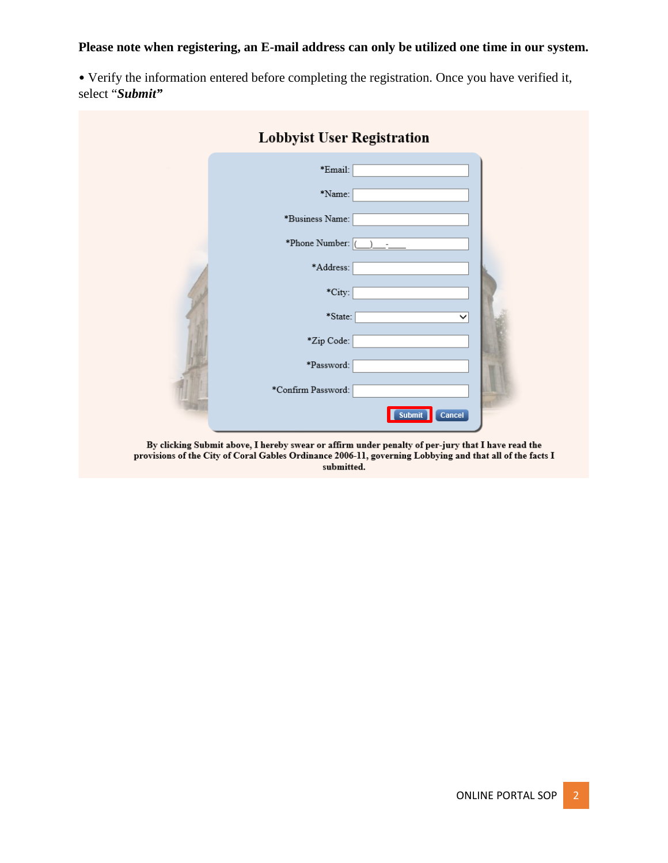#### **Please note when registering, an E-mail address can only be utilized one time in our system.**

• Verify the information entered before completing the registration. Once you have verified it, select "*Submit"*

| <b>Lobbyist User Registration</b>                                                                |
|--------------------------------------------------------------------------------------------------|
| *Email:                                                                                          |
| *Name:                                                                                           |
| *Business Name:                                                                                  |
| *Phone Number: (                                                                                 |
| *Address:                                                                                        |
| *City:                                                                                           |
| *State:<br>$\checkmark$                                                                          |
| *Zip Code:                                                                                       |
| *Password:                                                                                       |
| *Confirm Password:                                                                               |
| Submit<br>Cancel                                                                                 |
| By clicking Submit above I hereby swear or affirm under penalty of per-jury that I have read the |

By clicking Submit above, I hereby swear or affirm under penalty of per-jury that I have read the<br>provisions of the City of Coral Gables Ordinance 2006-11, governing Lobbying and that all of the facts I submitted.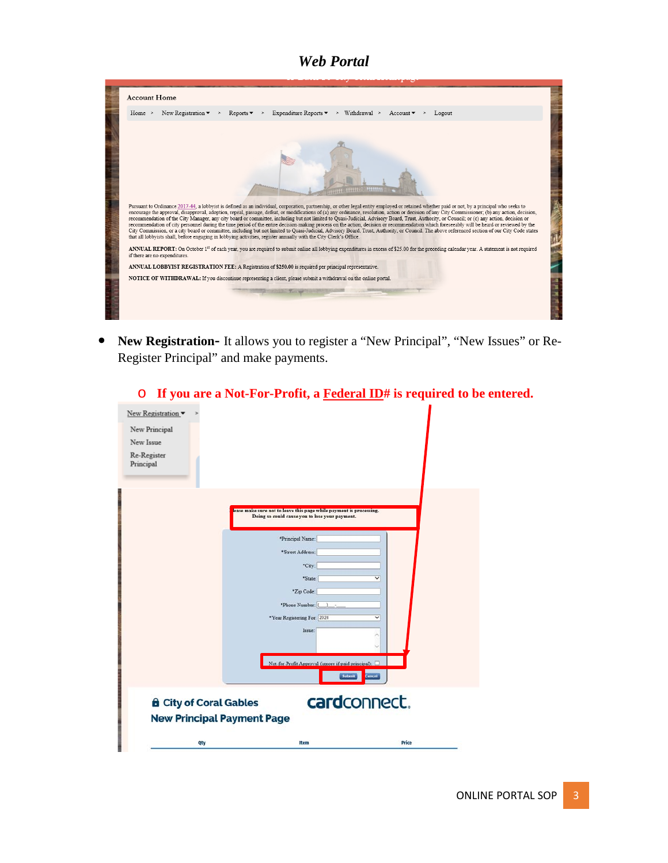## *Web Portal*

| <b>Account Home</b>                                                                                                                                                                                                                                                                                                                                                                                                                                                                                                                                                                                                                                                                                                                                                                                                                                                                                                                                                                                                                                                                                                                                                                                                                                                                                                                                                                                                                                                                                                                                                                                                   |
|-----------------------------------------------------------------------------------------------------------------------------------------------------------------------------------------------------------------------------------------------------------------------------------------------------------------------------------------------------------------------------------------------------------------------------------------------------------------------------------------------------------------------------------------------------------------------------------------------------------------------------------------------------------------------------------------------------------------------------------------------------------------------------------------------------------------------------------------------------------------------------------------------------------------------------------------------------------------------------------------------------------------------------------------------------------------------------------------------------------------------------------------------------------------------------------------------------------------------------------------------------------------------------------------------------------------------------------------------------------------------------------------------------------------------------------------------------------------------------------------------------------------------------------------------------------------------------------------------------------------------|
| Expenditure Reports $\bullet \quad > \quad$ Withdrawal > Account $\bullet$<br>New Registration $\bullet$ ><br>Home ><br>Reports $\blacktriangleright$<br>$\rightarrow$<br>Logout                                                                                                                                                                                                                                                                                                                                                                                                                                                                                                                                                                                                                                                                                                                                                                                                                                                                                                                                                                                                                                                                                                                                                                                                                                                                                                                                                                                                                                      |
| weer addition weepers<br>Pursuant to Ordinance 2017-44, a lobbyist is defined as an individual, corporation, partnership, or other legal entity employed or retained whether paid or not, by a principal who seeks to<br>encourage the approval, disapproval, adoption, repeal, passage, defeat, or modifications of (a) any ordinance, resolution, action or decision of any City Commissioner; (b) any action, decision,<br>recommendation of the City Manager, any city board or committee, including but not limited to Quasi-Judicial, Advisory Board, Trust, Authority, or Council; or (c) any action, decision or<br>recommendation of city personnel during the time period of the entire decision-making process on the action, decision or recommendation which foreseeably will be heard or reviewed by the<br>City Commission, or a city board or committee, including but not limited to Quasi-Judicial, Advisory Board, Trust, Authority, or Council. The above referenced section of our City Code states<br>that all lobbyists shall, before engaging in lobbying activities, register annually with the City Clerk's Office.<br>ANNUAL REPORT: On October 1 <sup>st</sup> of each vear, you are required to submit online all lobbying expenditures in excess of \$25.00 for the preceding calendar year. A statement is not required<br>if there are no expenditures.<br>ANNUAL LOBBYIST REGISTRATION FEE: A Registration of \$250.00 is required per principal representative.<br>NOTICE OF WITHDRAWAL: If you discontinue representing a client, please submit a withdrawal on the online portal. |

• **New Registration-** It allows you to register a "New Principal", "New Issues" or Re-Register Principal" and make payments.

| New Registration v                |                                                                                                                      |              |
|-----------------------------------|----------------------------------------------------------------------------------------------------------------------|--------------|
| New Principal                     |                                                                                                                      |              |
| New Issue                         |                                                                                                                      |              |
| Re-Register                       |                                                                                                                      |              |
| Principal                         |                                                                                                                      |              |
|                                   |                                                                                                                      |              |
|                                   |                                                                                                                      |              |
|                                   | ease make sure not to leave this page while payment is processing.<br>Doing so could cause you to lose your payment. |              |
|                                   |                                                                                                                      |              |
|                                   | *Principal Name:                                                                                                     |              |
|                                   | *Street Address:                                                                                                     |              |
|                                   | *City:                                                                                                               |              |
|                                   | *State:                                                                                                              | ▽            |
|                                   | "Zip Code:                                                                                                           |              |
|                                   | *Phone Number:                                                                                                       |              |
|                                   | *Year Registering For: 2020                                                                                          | $\checkmark$ |
|                                   | Issue:                                                                                                               | ×            |
|                                   |                                                                                                                      |              |
|                                   | Not-for-Profit Approval (ignore if paid principal):                                                                  |              |
|                                   | Submit                                                                                                               | Cancel       |
|                                   |                                                                                                                      |              |
| <b>A</b> City of Coral Gables     |                                                                                                                      | cardconnect. |
| <b>New Principal Payment Page</b> |                                                                                                                      |              |
|                                   |                                                                                                                      |              |
| Qty                               | <b>Item</b>                                                                                                          | Price        |

## o **If you are a Not-For-Profit, a Federal ID# is required to be entered.**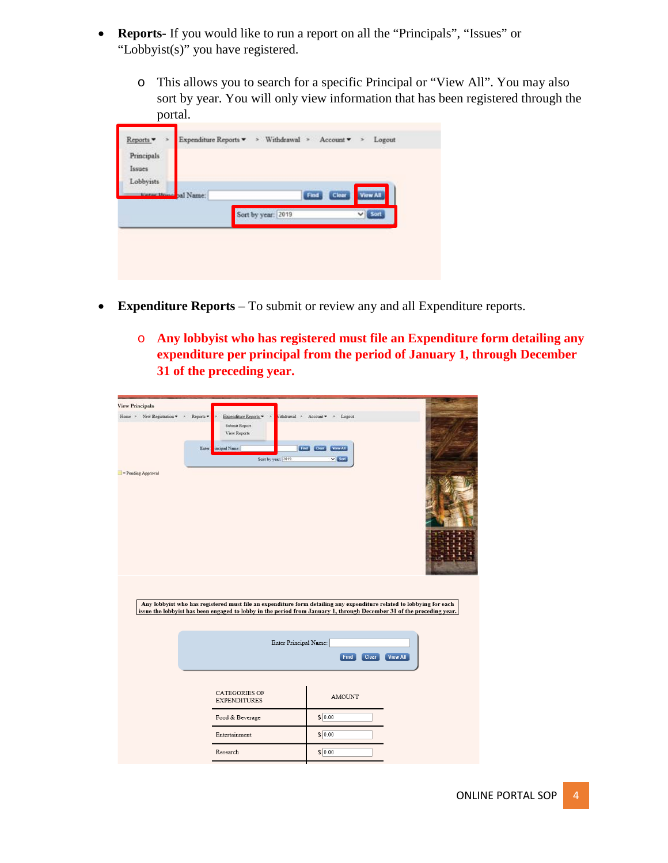- **Reports-** If you would like to run a report on all the "Principals", "Issues" or "Lobbyist(s)" you have registered.
	- o This allows you to search for a specific Principal or "View All". You may also sort by year. You will only view information that has been registered through the portal.

| Lobbyists<br><b>View All</b><br>starter Drive pal Name:<br>Clear<br>Find |      | Expenditure Reports ▼ > Withdrawal > Account ▼ > |  | Reports ·<br>Principals<br>Issues |
|--------------------------------------------------------------------------|------|--------------------------------------------------|--|-----------------------------------|
|                                                                          |      |                                                  |  |                                   |
|                                                                          | Sort | Sort by year: 2019                               |  |                                   |

- **Expenditure Reports** To submit or review any and all Expenditure reports.
	- o **Any lobbyist who has registered must file an Expenditure form detailing any expenditure per principal from the period of January 1, through December 31 of the preceding year.**

| iew Principals               |                                                                     |                                                                                                                                                                                                                                               |  |
|------------------------------|---------------------------------------------------------------------|-----------------------------------------------------------------------------------------------------------------------------------------------------------------------------------------------------------------------------------------------|--|
| New Registration =<br>Home = | Expenditure Reports *<br>Reports *<br>Submit Report<br>View Reports | Vithdrawal * Account *<br>Logout                                                                                                                                                                                                              |  |
|                              | Enter<br>tocipal Name:<br>Sent by year: 2019                        | <b>THE CHAIR VAN ALL</b><br>$v$ (SM)                                                                                                                                                                                                          |  |
| = Pending Approval           |                                                                     |                                                                                                                                                                                                                                               |  |
|                              |                                                                     | Any lobbyist who has registered must file an expenditure form detailing any expenditure related to lobbying for each<br>issue the lobbyist has been engaged to lobby in the period from January 1, through December 31 of the preceding year. |  |
|                              | Enter Principal Name:                                               | Find<br>Clear<br><b>View All</b>                                                                                                                                                                                                              |  |
|                              | <b>CATEGORIES OF</b><br><b>EXPENDITURES</b>                         | <b>AMOUNT</b>                                                                                                                                                                                                                                 |  |
|                              | Food & Beverage                                                     | $S$ 0.00                                                                                                                                                                                                                                      |  |
|                              | Entertainment                                                       | $S$ 0.00                                                                                                                                                                                                                                      |  |
|                              | Research                                                            | $S$ 0.00                                                                                                                                                                                                                                      |  |